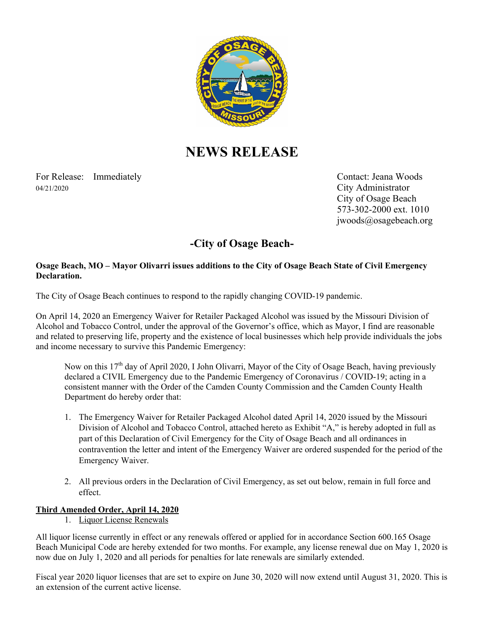

# **NEWS RELEASE**

For Release: Immediately Contact: Jeana Woods 04/21/2020 City Administrator

 City of Osage Beach 573-302-2000 ext. 1010 jwoods@osagebeach.org

# **-City of Osage Beach-**

#### **Osage Beach, MO – Mayor Olivarri issues additions to the City of Osage Beach State of Civil Emergency Declaration.**

The City of Osage Beach continues to respond to the rapidly changing COVID-19 pandemic.

On April 14, 2020 an Emergency Waiver for Retailer Packaged Alcohol was issued by the Missouri Division of Alcohol and Tobacco Control, under the approval of the Governor's office, which as Mayor, I find are reasonable and related to preserving life, property and the existence of local businesses which help provide individuals the jobs and income necessary to survive this Pandemic Emergency:

Now on this 17<sup>th</sup> day of April 2020, I John Olivarri, Mayor of the City of Osage Beach, having previously declared a CIVIL Emergency due to the Pandemic Emergency of Coronavirus / COVID-19; acting in a consistent manner with the Order of the Camden County Commission and the Camden County Health Department do hereby order that:

- 1. The Emergency Waiver for Retailer Packaged Alcohol dated April 14, 2020 issued by the Missouri Division of Alcohol and Tobacco Control, attached hereto as Exhibit "A," is hereby adopted in full as part of this Declaration of Civil Emergency for the City of Osage Beach and all ordinances in contravention the letter and intent of the Emergency Waiver are ordered suspended for the period of the Emergency Waiver.
- 2. All previous orders in the Declaration of Civil Emergency, as set out below, remain in full force and effect.

## **Third Amended Order, April 14, 2020**

1. Liquor License Renewals

All liquor license currently in effect or any renewals offered or applied for in accordance Section 600.165 Osage Beach Municipal Code are hereby extended for two months. For example, any license renewal due on May 1, 2020 is now due on July 1, 2020 and all periods for penalties for late renewals are similarly extended.

Fiscal year 2020 liquor licenses that are set to expire on June 30, 2020 will now extend until August 31, 2020. This is an extension of the current active license.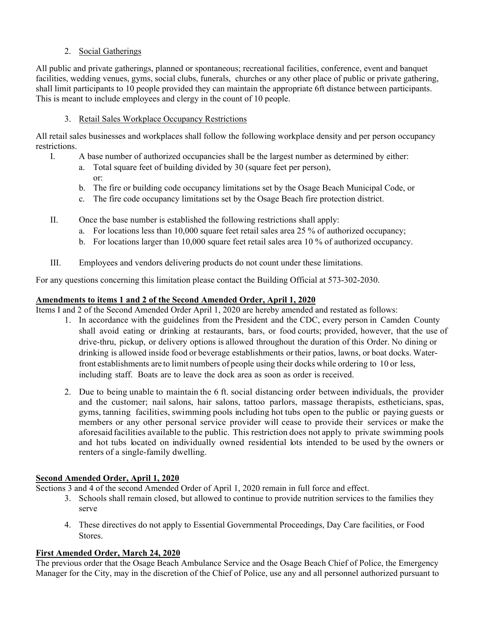### 2. Social Gatherings

All public and private gatherings, planned or spontaneous; recreational facilities, conference, event and banquet facilities, wedding venues, gyms, social clubs, funerals, churches or any other place of public or private gathering, shall limit participants to 10 people provided they can maintain the appropriate 6ft distance between participants. This is meant to include employees and clergy in the count of 10 people.

#### 3. Retail Sales Workplace Occupancy Restrictions

All retail sales businesses and workplaces shall follow the following workplace density and per person occupancy restrictions.

- I. A base number of authorized occupancies shall be the largest number as determined by either:
	- a. Total square feet of building divided by 30 (square feet per person), or:
	- b. The fire or building code occupancy limitations set by the Osage Beach Municipal Code, or
	- c. The fire code occupancy limitations set by the Osage Beach fire protection district.
- II. Once the base number is established the following restrictions shall apply:
	- a. For locations less than 10,000 square feet retail sales area 25 % of authorized occupancy;
	- b. For locations larger than 10,000 square feet retail sales area 10 % of authorized occupancy.
- III. Employees and vendors delivering products do not count under these limitations.

For any questions concerning this limitation please contact the Building Official at 573-302-2030.

#### **Amendments to items 1 and 2 of the Second Amended Order, April 1, 2020**

Items I and 2 of the Second Amended Order April 1, 2020 are hereby amended and restated as follows:

- 1. In accordance with the guidelines from the President and the CDC, every person in Camden County shall avoid eating or drinking at restaurants, bars, or food courts; provided, however, that the use of drive-thru, pickup, or delivery options is allowed throughout the duration of this Order. No dining or drinking is allowed inside food or beverage establishments or their patios, lawns, or boat docks. Waterfront establishments are to limit numbers of people using their docks while ordering to 10 or less, including staff. Boats are to leave the dock area as soon as order is received.
- 2. Due to being unable to maintain the 6 ft. social distancing order between individuals, the provider and the customer; nail salons, hair salons, tattoo parlors, massage therapists, estheticians, spas, gyms, tanning facilities, swimming pools including hot tubs open to the public or paying guests or members or any other personal service provider will cease to provide their services or make the aforesaid facilities available to the public. This restriction does not apply to private swimming pools and hot tubs located on individually owned residential lots intended to be used by the owners or renters of a single-family dwelling.

#### **Second Amended Order, April 1, 2020**

Sections 3 and 4 of the second Amended Order of April 1, 2020 remain in full force and effect.

- 3. Schools shall remain closed, but allowed to continue to provide nutrition services to the families they serve
- 4. These directives do not apply to Essential Governmental Proceedings, Day Care facilities, or Food Stores.

#### **First Amended Order, March 24, 2020**

The previous order that the Osage Beach Ambulance Service and the Osage Beach Chief of Police, the Emergency Manager for the City, may in the discretion of the Chief of Police, use any and all personnel authorized pursuant to